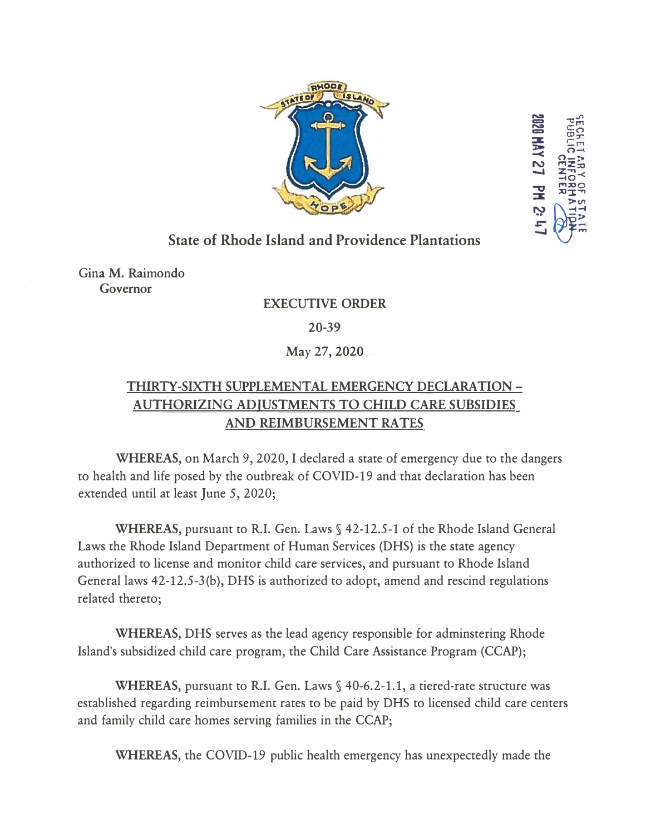

**CORP 0200 AV**<br>-- PUBLIC<br>-- BURBIC PLA

**1752<br>CONBRO<br>CONTO<br>VARD<br>VARD ,-.,z::c** z -iO �-< ..,, r"'lXIO **::E Xl:J:-rt** 

**N 055 STATE**<br>NTER CON<br>NTER COMMER<br>**7** PM 2: 47  $\Xi$ 

## **State of Rhode Island and Providence Plantations**

Gina M. Raimondo **Governor** 

## **EXECUTIVE ORDER**

**20-39**

## May 27, **2020**

## **THIRTY-SIXTH SUPPLEMENTAL EMERGENCY DECLARATION - AUTHORIZING ADJUSTMENTS TO CHILD CARE SUBSIDIES AND REIMBURSEMENT RATES**

**WHEREAS,** on March 9, 2020, I declared a state of emergency due to the dangers to health and life posed by the outbreak of COVID-19 and that declaration has been extended until at least June 5, 2020;

**WHEREAS,** pursuant to R.I. Gen. Laws§ 42-12.5-1 of the Rhode Island General Laws the Rhode Island Department of Human Services (DHS) is the state agency authorized to license and monitor child care services, and pursuant to Rhode Island General laws 42-12.5-3(b), DHS is authorized to adopt, amend and rescind regulations related thereto;

**WHEREAS,** DHS serves as the lead agency responsible for adminstering Rhode Island's subsidized child care program, the Child Care Assistance Program (CCAP);

**WHEREAS,** pursuant to R.I. Gen. Laws§ 40-6.2-1.1, a tiered-rate structure was established regarding reimbursement rates to be paid by DHS to licensed child care centers and family child care homes serving families in the CCAP;

**WHEREAS,** the COVID-19 public health emergency has unexpectedly made the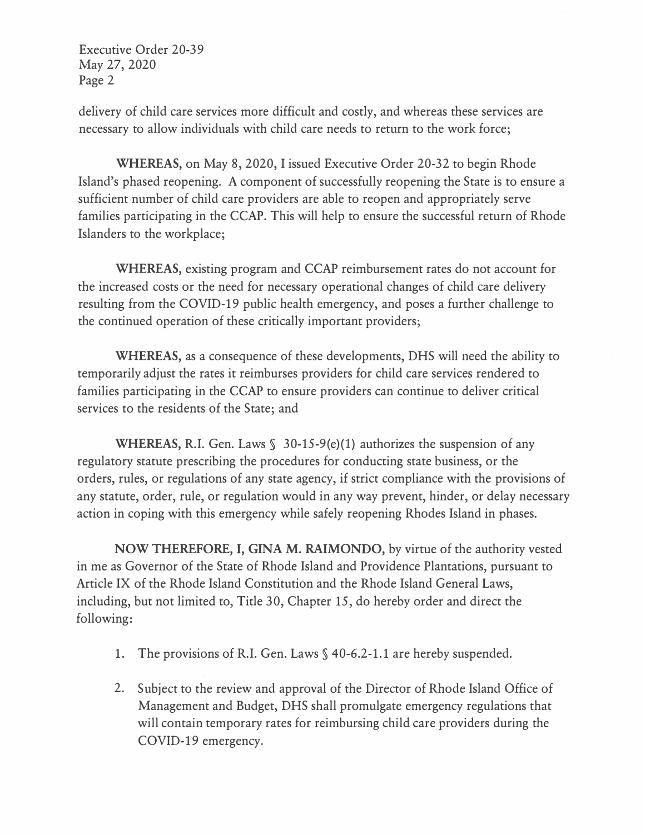Executive Order 20-39 May 27, 2020 Page 2

delivery of child care services more difficult and costly, and whereas these services are necessary to allow individuals with child care needs to return to the work force;

**WHEREAS,** on May 8, 2020, I issued Executive Order 20-32 to begin Rhode Island's phased reopening. A component of successfully reopening the State is to ensure a sufficient number of child care providers are able to reopen and appropriately serve families participating in the CCAP. This will help to ensure the successful return of Rhode Islanders to the workplace;

**WHEREAS,** existing program and CCAP reimbursement rates do not account for the increased costs or the need for necessary operational changes of child care delivery resulting from the COVID-19 public health emergency, and poses a further challenge to the continued operation of these critically important providers;

**WHEREAS,** as a consequence of these developments, DHS will need the ability to temporarily adjust the rates it reimburses providers for child care services rendered to families participating in the CCAP to ensure providers can continue to deliver critical services to the residents of the State; and

**WHEREAS, R.I. Gen. Laws § 30-15-9(e)(1) authorizes the suspension of any** regulatory statute prescribing the procedures for conducting state business, or the orders, rules, or regulations of any state agency, if strict compliance with the provisions of any statute, order, rule, or regulation would in any way prevent, hinder, or delay necessary action in coping with this emergency while safely reopening Rhodes Island in phases.

**NOW THEREFORE,** I, **GINA M. RAIMONDO,** by virtue of the authority vested in me as Governor of the State of Rhode Island and Providence Plantations, pursuant to Article IX of the Rhode Island Constitution and the Rhode Island General Laws, including, but not limited to, Title 30, Chapter 15, do hereby order and direct the following:

- 1. The provisions of R.I. Gen. Laws § 40-6.2-1.1 are hereby suspended.
- 2. Subject to the review and approval of the Director of Rhode Island Office of Management and Budget, DHS shall promulgate emergency regulations that will contain temporary rates for reimbursing child care providers during the COVID-19 emergency.